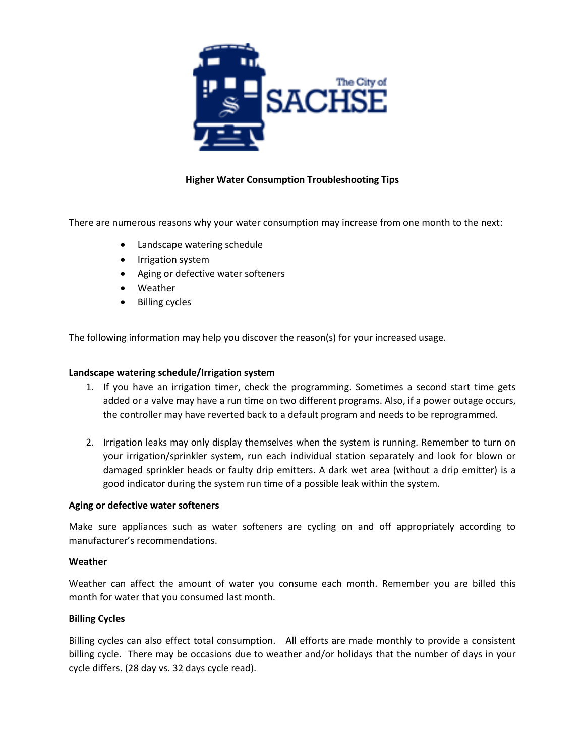

# **Higher Water Consumption Troubleshooting Tips**

There are numerous reasons why your water consumption may increase from one month to the next:

- Landscape watering schedule
- Irrigation system
- Aging or defective water softeners
- Weather
- Billing cycles

The following information may help you discover the reason(s) for your increased usage.

### **Landscape watering schedule/Irrigation system**

- 1. If you have an irrigation timer, check the programming. Sometimes a second start time gets added or a valve may have a run time on two different programs. Also, if a power outage occurs, the controller may have reverted back to a default program and needs to be reprogrammed.
- 2. Irrigation leaks may only display themselves when the system is running. Remember to turn on your irrigation/sprinkler system, run each individual station separately and look for blown or damaged sprinkler heads or faulty drip emitters. A dark wet area (without a drip emitter) is a good indicator during the system run time of a possible leak within the system.

### **Aging or defective water softeners**

Make sure appliances such as water softeners are cycling on and off appropriately according to manufacturer's recommendations.

### **Weather**

Weather can affect the amount of water you consume each month. Remember you are billed this month for water that you consumed last month.

### **Billing Cycles**

Billing cycles can also effect total consumption. All efforts are made monthly to provide a consistent billing cycle. There may be occasions due to weather and/or holidays that the number of days in your cycle differs. (28 day vs. 32 days cycle read).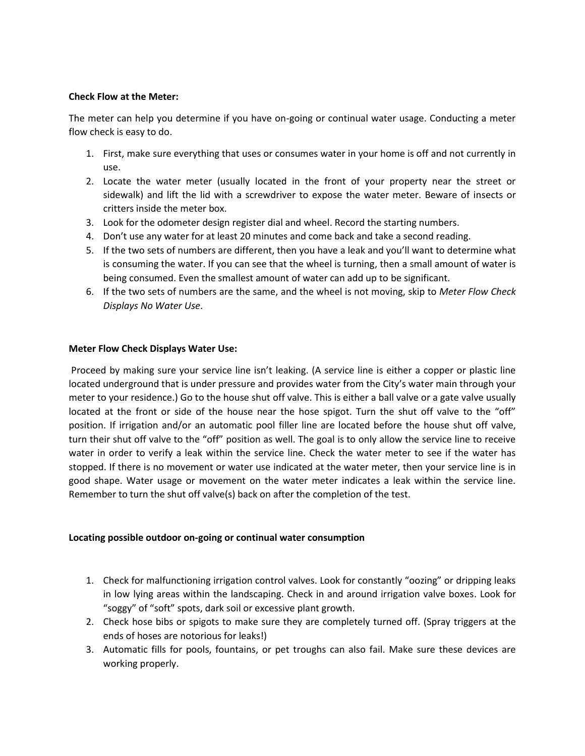## **Check Flow at the Meter:**

The meter can help you determine if you have on-going or continual water usage. Conducting a meter flow check is easy to do.

- 1. First, make sure everything that uses or consumes water in your home is off and not currently in use.
- 2. Locate the water meter (usually located in the front of your property near the street or sidewalk) and lift the lid with a screwdriver to expose the water meter. Beware of insects or critters inside the meter box.
- 3. Look for the odometer design register dial and wheel. Record the starting numbers.
- 4. Don't use any water for at least 20 minutes and come back and take a second reading.
- 5. If the two sets of numbers are different, then you have a leak and you'll want to determine what is consuming the water. If you can see that the wheel is turning, then a small amount of water is being consumed. Even the smallest amount of water can add up to be significant.
- 6. If the two sets of numbers are the same, and the wheel is not moving, skip to *Meter Flow Check Displays No Water Use*.

## **Meter Flow Check Displays Water Use:**

Proceed by making sure your service line isn't leaking. (A service line is either a copper or plastic line located underground that is under pressure and provides water from the City's water main through your meter to your residence.) Go to the house shut off valve. This is either a ball valve or a gate valve usually located at the front or side of the house near the hose spigot. Turn the shut off valve to the "off" position. If irrigation and/or an automatic pool filler line are located before the house shut off valve, turn their shut off valve to the "off" position as well. The goal is to only allow the service line to receive water in order to verify a leak within the service line. Check the water meter to see if the water has stopped. If there is no movement or water use indicated at the water meter, then your service line is in good shape. Water usage or movement on the water meter indicates a leak within the service line. Remember to turn the shut off valve(s) back on after the completion of the test.

## **Locating possible outdoor on-going or continual water consumption**

- 1. Check for malfunctioning irrigation control valves. Look for constantly "oozing" or dripping leaks in low lying areas within the landscaping. Check in and around irrigation valve boxes. Look for "soggy" of "soft" spots, dark soil or excessive plant growth.
- 2. Check hose bibs or spigots to make sure they are completely turned off. (Spray triggers at the ends of hoses are notorious for leaks!)
- 3. Automatic fills for pools, fountains, or pet troughs can also fail. Make sure these devices are working properly.